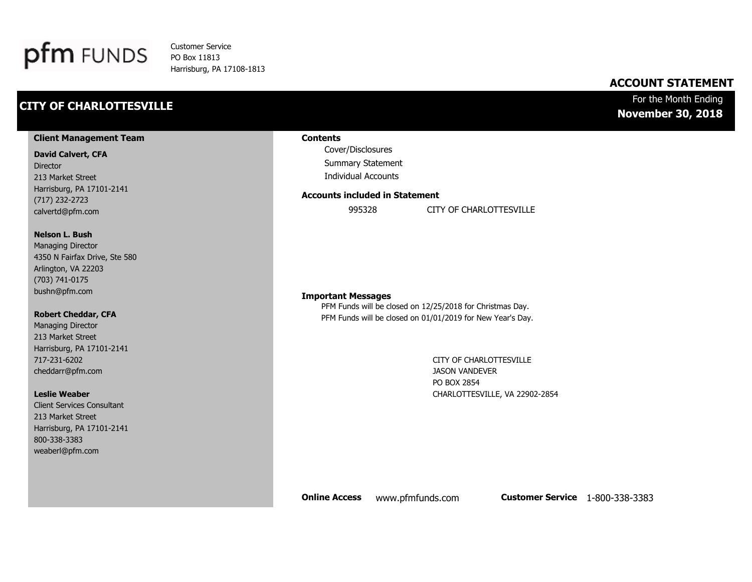

Customer Service PO Box 11813 Harrisburg, PA 17108-1813

### **CITY OF CHARLOTTESVILLE**

### **ACCOUNT STATEMENT**

#### For the Month Ending **November 30, 2018**

#### **Client Management Team**

#### **David Calvert, CFA**

Director 213 Market Street Harrisburg, PA 17101-2141 (717) 232-2723 calvertd@pfm.com

#### **Nelson L. Bush**

Managing Director 4350 N Fairfax Drive, Ste 580 Arlington, VA 22203 (703) 741-0175 bushn@pfm.com

#### **Robert Cheddar, CFA**

Managing Director 213 Market Street Harrisburg, PA 17101-2141 717-231-6202 cheddarr@pfm.com

#### **Leslie Weaber**

Client Services Consultant 213 Market Street Harrisburg, PA 17101-2141 800-338-3383 weaberl@pfm.com

#### **Contents**

Cover/Disclosures Summary Statement Individual Accounts

#### **Accounts included in Statement**

995328 CITY OF CHARLOTTESVILLE

#### **Important Messages**

PFM Funds will be closed on 12/25/2018 for Christmas Day. PFM Funds will be closed on 01/01/2019 for New Year's Day.

> CITY OF CHARLOTTESVILLE JASON VANDEVER PO BOX 2854 CHARLOTTESVILLE, VA 22902-2854

**Online Access** www.pfmfunds.com **Customer Service** 1-800-338-3383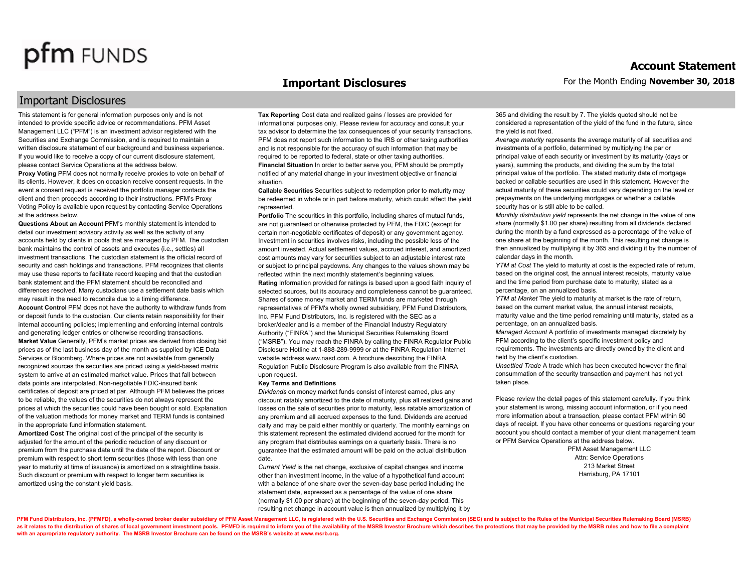Important Disclosures

#### **Important Disclosures**

This statement is for general information purposes only and is not intended to provide specific advice or recommendations. PFM Asset Management LLC ("PFM") is an investment advisor registered with the Securities and Exchange Commission, and is required to maintain a written disclosure statement of our background and business experience. If you would like to receive a copy of our current disclosure statement, please contact Service Operations at the address below.

**Proxy Voting** PFM does not normally receive proxies to vote on behalf of its clients. However, it does on occasion receive consent requests. In the event a consent request is received the portfolio manager contacts the client and then proceeds according to their instructions. PFM's Proxy Voting Policy is available upon request by contacting Service Operations at the address below.

**Questions About an Account** PFM's monthly statement is intended to detail our investment advisory activity as well as the activity of any accounts held by clients in pools that are managed by PFM. The custodian bank maintains the control of assets and executes (i.e., settles) all investment transactions. The custodian statement is the official record of security and cash holdings and transactions. PFM recognizes that clients may use these reports to facilitate record keeping and that the custodian bank statement and the PFM statement should be reconciled and differences resolved. Many custodians use a settlement date basis which may result in the need to reconcile due to a timing difference. **Account Control** PFM does not have the authority to withdraw funds from or deposit funds to the custodian. Our clients retain responsibility for their internal accounting policies; implementing and enforcing internal controls and generating ledger entries or otherwise recording transactions. **Market Value** Generally, PFM's market prices are derived from closing bid prices as of the last business day of the month as supplied by ICE Data Services or Bloomberg. Where prices are not available from generally recognized sources the securities are priced using a yield-based matrix system to arrive at an estimated market value. Prices that fall between data points are interpolated. Non-negotiable FDIC-insured bank certificates of deposit are priced at par. Although PFM believes the prices to be reliable, the values of the securities do not always represent the prices at which the securities could have been bought or sold. Explanation of the valuation methods for money market and TERM funds is contained in the appropriate fund information statement.

**Amortized Cost** The original cost of the principal of the security is adjusted for the amount of the periodic reduction of any discount or premium from the purchase date until the date of the report. Discount or premium with respect to short term securities (those with less than one year to maturity at time of issuance) is amortized on a straightline basis. Such discount or premium with respect to longer term securities is amortized using the constant yield basis.

**Tax Reporting** Cost data and realized gains / losses are provided for informational purposes only. Please review for accuracy and consult your tax advisor to determine the tax consequences of your security transactions. PFM does not report such information to the IRS or other taxing authorities and is not responsible for the accuracy of such information that may be required to be reported to federal, state or other taxing authorities. **Financial Situation** In order to better serve you, PFM should be promptly notified of any material change in your investment objective or financial situation.

**Callable Securities** Securities subject to redemption prior to maturity may be redeemed in whole or in part before maturity, which could affect the yield represented.

**Portfolio** The securities in this portfolio, including shares of mutual funds, are not guaranteed or otherwise protected by PFM, the FDIC (except for certain non-negotiable certificates of deposit) or any government agency. Investment in securities involves risks, including the possible loss of the amount invested. Actual settlement values, accrued interest, and amortized cost amounts may vary for securities subject to an adjustable interest rate or subject to principal paydowns. Any changes to the values shown may be reflected within the next monthly statement's beginning values. **Rating** Information provided for ratings is based upon a good faith inquiry of selected sources, but its accuracy and completeness cannot be guaranteed. Shares of some money market and TERM funds are marketed through representatives of PFM's wholly owned subsidiary, PFM Fund Distributors, Inc. PFM Fund Distributors, Inc. is registered with the SEC as a broker/dealer and is a member of the Financial Industry Regulatory Authority ("FINRA") and the Municipal Securities Rulemaking Board ("MSRB"). You may reach the FINRA by calling the FINRA Regulator Public Disclosure Hotline at 1-888-289-9999 or at the FINRA Regulation Internet website address www.nasd.com. A brochure describing the FINRA Regulation Public Disclosure Program is also available from the FINRA upon request.

#### **Key Terms and Definitions**

*Dividends* on money market funds consist of interest earned, plus any discount ratably amortized to the date of maturity, plus all realized gains and losses on the sale of securities prior to maturity, less ratable amortization of any premium and all accrued expenses to the fund. Dividends are accrued daily and may be paid either monthly or quarterly. The monthly earnings on this statement represent the estimated dividend accrued for the month for any program that distributes earnings on a quarterly basis. There is no guarantee that the estimated amount will be paid on the actual distribution date.

*Current Yield* is the net change, exclusive of capital changes and income other than investment income, in the value of a hypothetical fund account with a balance of one share over the seven-day base period including the statement date, expressed as a percentage of the value of one share (normally \$1.00 per share) at the beginning of the seven-day period. This resulting net change in account value is then annualized by multiplying it by 365 and dividing the result by 7. The yields quoted should not be considered a representation of the yield of the fund in the future, since the yield is not fixed.

*Average maturity* represents the average maturity of all securities and investments of a portfolio, determined by multiplying the par or principal value of each security or investment by its maturity (days or years), summing the products, and dividing the sum by the total principal value of the portfolio. The stated maturity date of mortgage backed or callable securities are used in this statement. However the actual maturity of these securities could vary depending on the level or prepayments on the underlying mortgages or whether a callable security has or is still able to be called.

*Monthly distribution yield* represents the net change in the value of one share (normally \$1.00 per share) resulting from all dividends declared during the month by a fund expressed as a percentage of the value of one share at the beginning of the month. This resulting net change is then annualized by multiplying it by 365 and dividing it by the number of calendar days in the month.

*YTM at Cost* The yield to maturity at cost is the expected rate of return, based on the original cost, the annual interest receipts, maturity value and the time period from purchase date to maturity, stated as a percentage, on an annualized basis.

*YTM at Market* The yield to maturity at market is the rate of return, based on the current market value, the annual interest receipts, maturity value and the time period remaining until maturity, stated as a percentage, on an annualized basis.

*Managed Account* A portfolio of investments managed discretely by PFM according to the client's specific investment policy and requirements. The investments are directly owned by the client and held by the client's custodian.

*Unsettled Trade* A trade which has been executed however the final consummation of the security transaction and payment has not yet taken place.

Please review the detail pages of this statement carefully. If you think your statement is wrong, missing account information, or if you need more information about a transaction, please contact PFM within 60 days of receipt. If you have other concerns or questions regarding your account you should contact a member of your client management team or PFM Service Operations at the address below.

> PFM Asset Management LLC Attn: Service Operations 213 Market Street Harrisburg, PA 17101

PFM Fund Distributors, Inc. (PFMFD), a wholly-owned broker dealer subsidiary of PFM Asset Management LLC, is registered with the U.S. Securities and Exchange Commission (SEC) and is subject to the Rules of the Municipal Se as it relates to the distribution of shares of local government investment pools. PFMFD is required to inform you of the availability of the MSRB Investor Brochure which describes the protections that may be provided by th **with an appropriate regulatory authority. The MSRB Investor Brochure can be found on the MSRB's website at www.msrb.org.**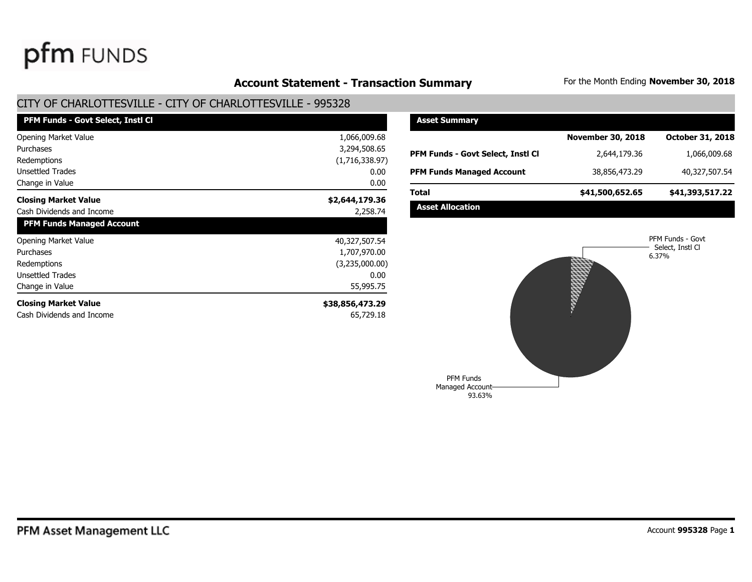## Account Statement - Transaction Summary For the Month Ending November 30, 2018

### CITY OF CHARLOTTESVILLE - CITY OF CHARLOTTESVILLE - 995328

| <b>PFM Funds - Govt Select, Insti Cl</b> |                 |
|------------------------------------------|-----------------|
| <b>Opening Market Value</b>              | 1,066,009.68    |
| Purchases                                | 3,294,508.65    |
| Redemptions                              | (1,716,338.97)  |
| <b>Unsettled Trades</b>                  | 0.00            |
| Change in Value                          | 0.00            |
| <b>Closing Market Value</b>              | \$2,644,179.36  |
| Cash Dividends and Income                | 2,258.74        |
| <b>PFM Funds Managed Account</b>         |                 |
| <b>Opening Market Value</b>              | 40,327,507.54   |
| Purchases                                | 1,707,970.00    |
| Redemptions                              | (3,235,000.00)  |
| <b>Unsettled Trades</b>                  | 0.00            |
| Change in Value                          | 55,995.75       |
| <b>Closing Market Value</b>              | \$38,856,473.29 |
| Cash Dividends and Income                | 65,729.18       |

| <b>Asset Summary</b>              |                          |                         |
|-----------------------------------|--------------------------|-------------------------|
|                                   | <b>November 30, 2018</b> | <b>October 31, 2018</b> |
| PFM Funds - Govt Select, Instl Cl | 2,644,179.36             | 1,066,009.68            |
| <b>PFM Funds Managed Account</b>  | 38,856,473.29            | 40,327,507.54           |
| Total                             | \$41,500,652.65          | \$41,393,517.22         |
| <b>Asset Allocation</b>           |                          |                         |

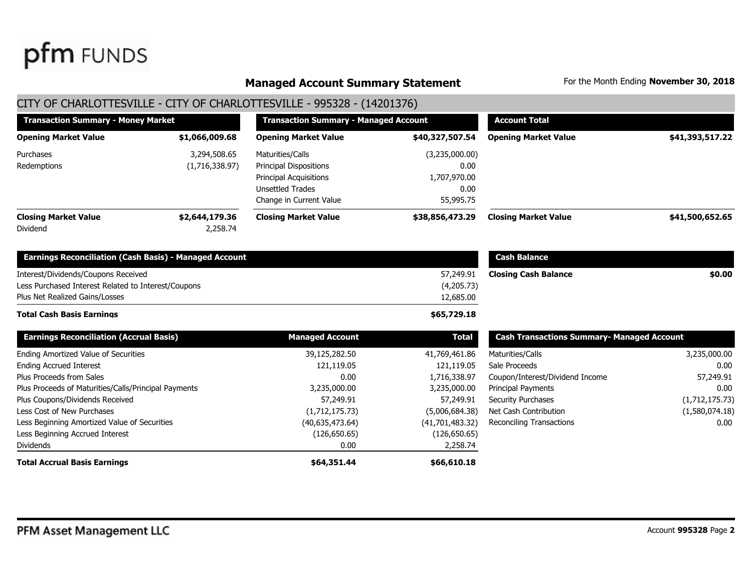#### **Managed Account Summary Statement** For the Month Ending November 30, 2018

### CITY OF CHARLOTTESVILLE - CITY OF CHARLOTTESVILLE - 995328 - (14201376)

| <b>Transaction Summary - Money Market</b>     |              | <b>Transaction Summary - Managed Account</b>   |                 | <b>Account Total</b>        |                 |  |
|-----------------------------------------------|--------------|------------------------------------------------|-----------------|-----------------------------|-----------------|--|
| <b>Opening Market Value</b><br>\$1,066,009.68 |              | <b>Opening Market Value</b>                    | \$40,327,507.54 | <b>Opening Market Value</b> | \$41,393,517.22 |  |
| Purchases                                     | 3,294,508.65 | Maturities/Calls                               | (3,235,000.00)  |                             |                 |  |
| Redemptions<br>(1,716,338.97)                 |              | 0.00<br>Principal Dispositions                 |                 |                             |                 |  |
|                                               |              | <b>Principal Acquisitions</b>                  | 1,707,970.00    |                             |                 |  |
|                                               |              | <b>Unsettled Trades</b>                        | 0.00            |                             |                 |  |
|                                               |              | Change in Current Value                        | 55,995.75       |                             |                 |  |
| <b>Closing Market Value</b><br>\$2,644,179.36 |              | <b>Closing Market Value</b><br>\$38,856,473.29 |                 | <b>Closing Market Value</b> | \$41,500,652.65 |  |
| Dividend                                      | 2,258.74     |                                                |                 |                             |                 |  |

| <b>Earnings Reconciliation (Cash Basis) - Managed Account</b> |            |
|---------------------------------------------------------------|------------|
| Interest/Dividends/Coupons Received                           | 57,249.91  |
| Less Purchased Interest Related to Interest/Coupons           | (4,205.73) |
| Plus Net Realized Gains/Losses                                | 12,685.00  |
|                                                               |            |

#### Dividends Less Beginning Accrued Interest Less Beginning Amortized Value of Securities Less Cost of New Purchases Plus Coupons/Dividends Received Plus Proceeds of Maturities/Calls/Principal Payments Plus Proceeds from Sales Ending Accrued Interest Ending Amortized Value of Securities **Earnings Reconciliation (Accrual Basis) Managed Account Total**  39,125,282.50 41,769,461.86 121,119.05 0.00 3,235,000.00 57,249.91 (1,712,175.73) (40,635,473.64) (126,650.65) 0.00 121,119 1,716,338. 3,235,000 57,249  $(5,006,684)$  $(41,701,483)$  $(126, 650$ 2,258.74

**Total Accrual Basis Earnings \$64,351.44 \$66,610.18** 

|    | <b>Cash Balance</b>         |        |
|----|-----------------------------|--------|
|    | <b>Closing Cash Balance</b> | \$0.00 |
| 3) |                             |        |
|    |                             |        |

#### **\$65,729.18**

| al   | <b>Cash Transactions Summary- Managed Account</b> |                |
|------|---------------------------------------------------|----------------|
| .86  | Maturities/Calls                                  | 3,235,000.00   |
| .05  | Sale Proceeds                                     | 0.00           |
| .97  | Coupon/Interest/Dividend Income                   | 57,249.91      |
| .00  | <b>Principal Payments</b>                         | 0.00           |
| .91  | <b>Security Purchases</b>                         | (1,712,175.73) |
| .38) | Net Cash Contribution                             | (1,580,074.18) |
| .32) | Reconciling Transactions                          | 0.00           |
| .65) |                                                   |                |
| 71   |                                                   |                |

**Total Cash Basis Earnings**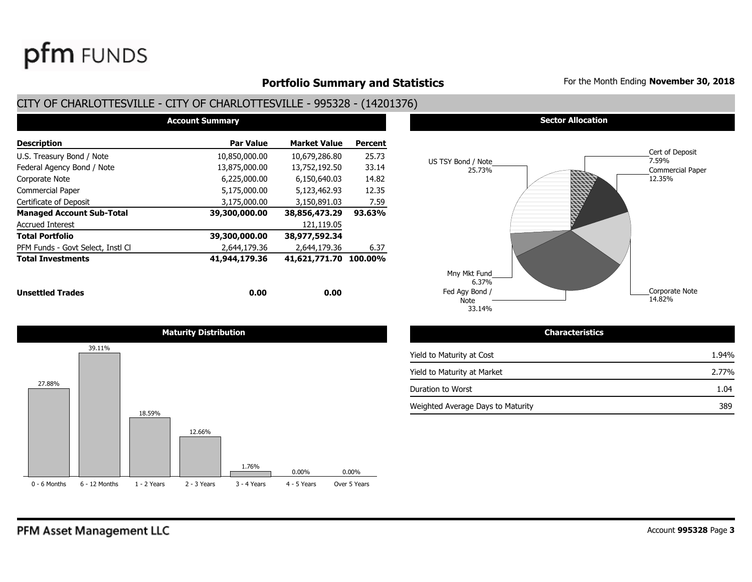### **Portfolio Summary and Statistics** For the Month Ending **November 30, 2018**

### CITY OF CHARLOTTESVILLE - CITY OF CHARLOTTESVILLE - 995328 - (14201376)

| <b>Account Summary</b>            |               |                       |                |  |  |  |  |  |  |
|-----------------------------------|---------------|-----------------------|----------------|--|--|--|--|--|--|
| <b>Description</b>                | Par Value     | <b>Market Value</b>   | <b>Percent</b> |  |  |  |  |  |  |
| U.S. Treasury Bond / Note         | 10,850,000.00 | 10,679,286.80         | 25.73          |  |  |  |  |  |  |
| Federal Agency Bond / Note        | 13,875,000.00 | 13,752,192.50         | 33.14          |  |  |  |  |  |  |
| Corporate Note                    | 6,225,000.00  | 6,150,640.03          | 14.82          |  |  |  |  |  |  |
| <b>Commercial Paper</b>           | 5,175,000.00  | 5,123,462.93          | 12.35          |  |  |  |  |  |  |
| Certificate of Deposit            | 3,175,000.00  | 3,150,891.03          | 7.59           |  |  |  |  |  |  |
| <b>Managed Account Sub-Total</b>  | 39,300,000.00 | 38,856,473.29         | 93.63%         |  |  |  |  |  |  |
| <b>Accrued Interest</b>           |               | 121,119.05            |                |  |  |  |  |  |  |
| Total Portfolio                   | 39,300,000.00 | 38,977,592.34         |                |  |  |  |  |  |  |
| PFM Funds - Govt Select, Instl Cl | 2,644,179.36  | 2,644,179.36          | 6.37           |  |  |  |  |  |  |
| <b>Total Investments</b>          | 41,944,179.36 | 41,621,771.70 100.00% |                |  |  |  |  |  |  |
| <b>Unsettled Trades</b>           | 0.00          | 0.00                  |                |  |  |  |  |  |  |





#### **Maturity Distribution Characteristics**

| Yield to Maturity at Cost         | 1.94% |
|-----------------------------------|-------|
| Yield to Maturity at Market       | 2.77% |
| Duration to Worst                 | 1.04  |
| Weighted Average Days to Maturity | 389   |



**pfm** FUNDS

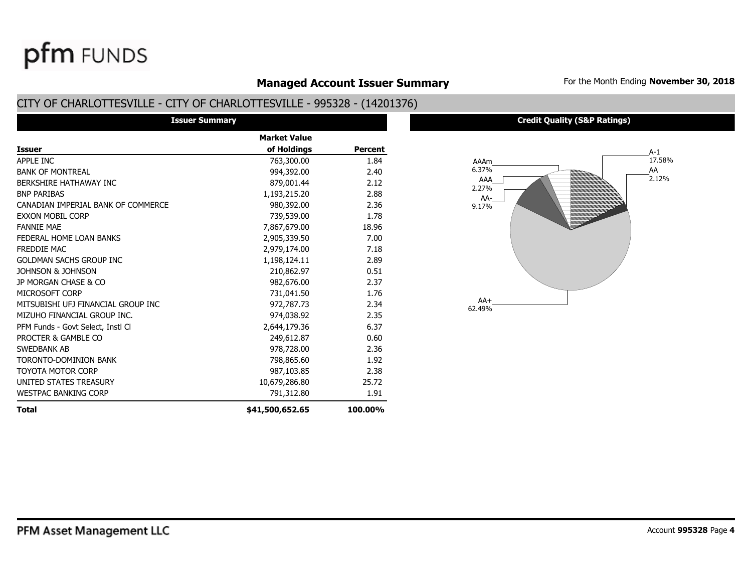# PFM Asset Management LLC

pfm FUNDS

| <b>Managed Account Issuer Su</b>                             |  |
|--------------------------------------------------------------|--|
| )I ATTECUILLE – CITY AE CHADLATTECUILLE – 00E220 – (14201274 |  |

## CITY OF CHARLOTTESVILLE - CITY OF CHARLOTTESVILLE - 995328 - (14201376)

| <b>Issuer Summary</b>              |                     |                |
|------------------------------------|---------------------|----------------|
|                                    | <b>Market Value</b> |                |
| Issuer                             | of Holdings         | <b>Percent</b> |
| APPLE INC                          | 763,300.00          | 1.84           |
| <b>BANK OF MONTREAL</b>            | 994,392.00          | 2.40           |
| BERKSHIRE HATHAWAY INC             | 879,001.44          | 2.12           |
| <b>BNP PARIBAS</b>                 | 1,193,215.20        | 2.88           |
| CANADIAN IMPERIAL BANK OF COMMERCE | 980,392.00          | 2.36           |
| EXXON MOBIL CORP                   | 739,539.00          | 1.78           |
| <b>FANNIE MAE</b>                  | 7,867,679.00        | 18.96          |
| FEDERAL HOME LOAN BANKS            | 2,905,339.50        | 7.00           |
| FREDDIE MAC                        | 2,979,174.00        | 7.18           |
| GOLDMAN SACHS GROUP INC            | 1,198,124.11        | 2.89           |
| Johnson & Johnson                  | 210,862.97          | 0.51           |
| JP MORGAN CHASE & CO               | 982,676.00          | 2.37           |
| MICROSOFT CORP                     | 731,041.50          | 1.76           |
| MITSUBISHI UFJ FINANCIAL GROUP INC | 972,787.73          | 2.34           |
| MIZUHO FINANCIAL GROUP INC.        | 974,038.92          | 2.35           |
| PFM Funds - Govt Select, Instl Cl  | 2,644,179.36        | 6.37           |
| PROCTER & GAMBLE CO                | 249,612.87          | 0.60           |
| SWEDBANK AB                        | 978,728.00          | 2.36           |
| TORONTO-DOMINION BANK              | 798,865.60          | 1.92           |
| TOYOTA MOTOR CORP                  | 987,103.85          | 2.38           |
| UNITED STATES TREASURY             | 10,679,286.80       | 25.72          |
| WESTPAC BANKING CORP               | 791,312.80          | 1.91           |
| Total                              | \$41,500,652.65     | 100.00%        |

### **Credit Quality (S&P Ratings)**



**Managed Account Issuer Summary** For the Month Ending **November 30, 2018**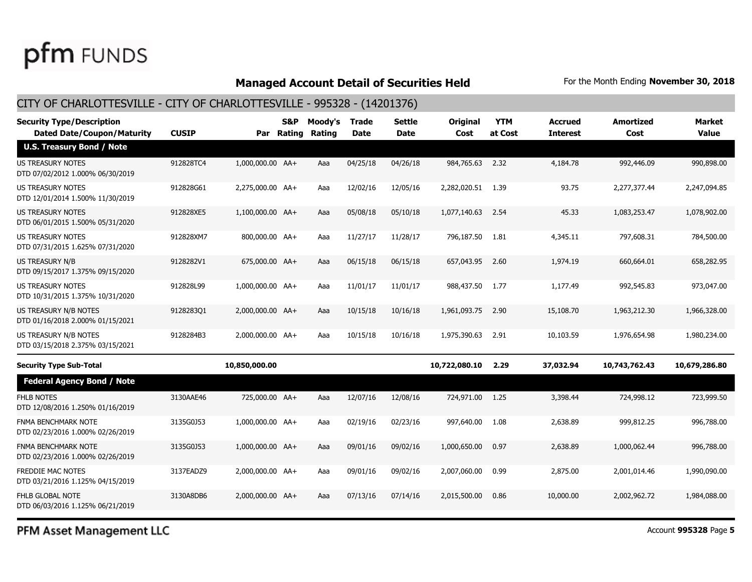### **Managed Account Detail of Securities Held** For the Month Ending November 30, 2018

### CITY OF CHARLOTTESVILLE - CITY OF CHARLOTTESVILLE - 995328 - (14201376)

| <b>CUSIP</b> | Par | S&P | Moody's<br>Rating                                                                                                                                                                                                                                                                     | <b>Trade</b><br><b>Date</b> | Settle<br><b>Date</b> | <b>Original</b><br>Cost | <b>YTM</b><br>at Cost | <b>Accrued</b><br><b>Interest</b> | <b>Amortized</b><br>Cost | <b>Market</b><br><b>Value</b> |
|--------------|-----|-----|---------------------------------------------------------------------------------------------------------------------------------------------------------------------------------------------------------------------------------------------------------------------------------------|-----------------------------|-----------------------|-------------------------|-----------------------|-----------------------------------|--------------------------|-------------------------------|
|              |     |     |                                                                                                                                                                                                                                                                                       |                             |                       |                         |                       |                                   |                          |                               |
| 912828TC4    |     |     | Aaa                                                                                                                                                                                                                                                                                   | 04/25/18                    | 04/26/18              |                         |                       | 4,184.78                          | 992,446.09               | 990,898.00                    |
| 912828G61    |     |     | Aaa                                                                                                                                                                                                                                                                                   | 12/02/16                    | 12/05/16              | 2,282,020.51            | 1.39                  | 93.75                             | 2,277,377.44             | 2,247,094.85                  |
| 912828XE5    |     |     | Aaa                                                                                                                                                                                                                                                                                   | 05/08/18                    | 05/10/18              | 1,077,140.63            | 2.54                  | 45.33                             | 1,083,253.47             | 1,078,902.00                  |
| 912828XM7    |     |     | Aaa                                                                                                                                                                                                                                                                                   | 11/27/17                    | 11/28/17              | 796,187.50              | 1.81                  | 4,345.11                          | 797,608.31               | 784,500.00                    |
| 9128282V1    |     |     | Aaa                                                                                                                                                                                                                                                                                   | 06/15/18                    | 06/15/18              | 657,043.95              | 2.60                  | 1,974.19                          | 660,664.01               | 658,282.95                    |
| 912828L99    |     |     | Aaa                                                                                                                                                                                                                                                                                   | 11/01/17                    | 11/01/17              | 988,437.50              | 1.77                  | 1,177.49                          | 992,545.83               | 973,047.00                    |
| 912828301    |     |     | Aaa                                                                                                                                                                                                                                                                                   | 10/15/18                    | 10/16/18              | 1,961,093.75            | 2.90                  | 15,108.70                         | 1,963,212.30             | 1,966,328.00                  |
| 9128284B3    |     |     | Aaa                                                                                                                                                                                                                                                                                   | 10/15/18                    | 10/16/18              | 1,975,390.63            | 2.91                  | 10,103.59                         | 1,976,654.98             | 1,980,234.00                  |
|              |     |     |                                                                                                                                                                                                                                                                                       |                             |                       | 10,722,080.10           | 2.29                  | 37,032.94                         | 10,743,762.43            | 10,679,286.80                 |
|              |     |     |                                                                                                                                                                                                                                                                                       |                             |                       |                         |                       |                                   |                          |                               |
| 3130AAE46    |     |     | Aaa                                                                                                                                                                                                                                                                                   | 12/07/16                    | 12/08/16              | 724,971.00              | 1.25                  | 3,398.44                          | 724,998.12               | 723,999.50                    |
| 3135G0J53    |     |     | Aaa                                                                                                                                                                                                                                                                                   | 02/19/16                    | 02/23/16              | 997,640,00              | 1.08                  | 2,638.89                          | 999.812.25               | 996,788.00                    |
| 3135G0J53    |     |     | Aaa                                                                                                                                                                                                                                                                                   | 09/01/16                    | 09/02/16              | 1,000,650.00            | 0.97                  | 2,638.89                          | 1,000,062.44             | 996,788.00                    |
| 3137EADZ9    |     |     | Aaa                                                                                                                                                                                                                                                                                   | 09/01/16                    | 09/02/16              | 2,007,060.00            | 0.99                  | 2,875.00                          | 2,001,014.46             | 1,990,090.00                  |
| 3130A8DB6    |     |     | Aaa                                                                                                                                                                                                                                                                                   | 07/13/16                    | 07/14/16              | 2,015,500.00            | 0.86                  | 10,000.00                         | 2,002,962.72             | 1,984,088,00                  |
|              |     |     | Rating<br>1,000,000.00 AA+<br>2,275,000.00 AA+<br>1,100,000.00 AA+<br>800,000.00 AA+<br>675,000.00 AA+<br>1,000,000.00 AA+<br>2,000,000.00 AA+<br>2,000,000.00 AA+<br>10,850,000.00<br>725,000.00 AA+<br>1.000.000.00 AA+<br>1,000,000.00 AA+<br>2,000,000.00 AA+<br>2,000,000.00 AA+ |                             |                       |                         |                       | 984,765.63 2.32                   |                          |                               |

PFM Asset Management LLC

Account **995328** Page **5**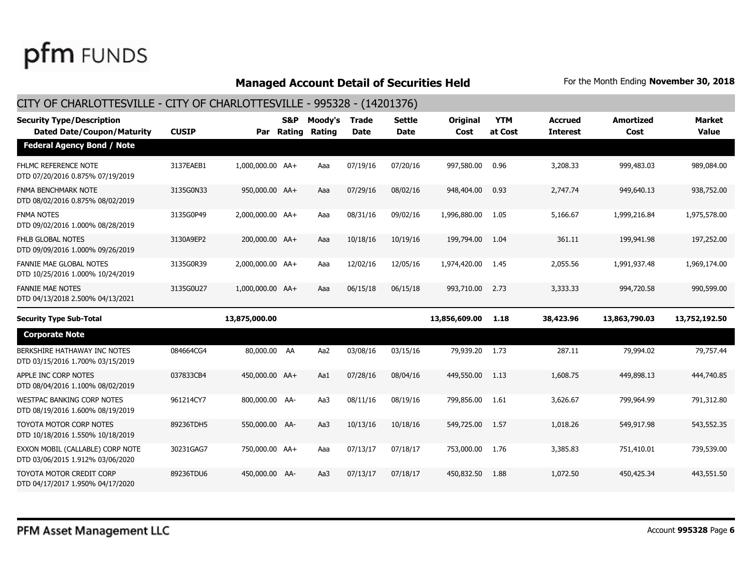#### **Managed Account Detail of Securities Held** For the Month Ending November 30, 2018

#### CITY OF CHARLOTTESVILLE - CITY OF CHARLOTTESVILLE - 995328 - (14201376) **Dated Date/Coupon/Maturity CUSIP Rating Rating Date Date Cost at Cost Interest Cost Value Security Type/Description S&P Moody's Trade Settle Original YTM Accrued Amortized Market Par Federal Agency Bond / Note** FHLMC REFERENCE NOTE DTD 07/20/2016 0.875% 07/19/2019 3137EAEB1 1,000,000.00 AA+ Aaa 07/19/16 07/20/16 997,580.00 0.96 3,208.33 999,483.03 989,084.00 FNMA BENCHMARK NOTE DTD 08/02/2016 0.875% 08/02/2019 3135G0N33 950,000.00 AA+ Aaa 07/29/16 08/02/16 948,404.00 0.93 2,747.74 949,640.13 938,752.00 FNMA NOTES DTD 09/02/2016 1.000% 08/28/2019 3135G0P49 2,000,000.00 AA+ Aaa 08/31/16 09/02/16 1,996,880.00 1.05 5,166.67 1,999,216.84 1,975,578.00 FHLB GLOBAL NOTES DTD 09/09/2016 1.000% 09/26/2019 3130A9EP2 200,000.00 AA+ Aaa 10/18/16 10/19/16 199,794.00 1.04 361.11 199,941.98 197,252.00 FANNIE MAE GLOBAL NOTES DTD 10/25/2016 1.000% 10/24/2019 3135G0R39 2,000,000.00 AA+ Aaa 12/02/16 12/05/16 1,974,420.00 1.45 2,055.56 1,991,937.48 1,969,174.00 FANNIE MAE NOTES DTD 04/13/2018 2.500% 04/13/2021 3135G0U27 1,000,000.00 AA+ Aaa 06/15/18 06/15/18 993,710.00 2.73 3,333.33 994,720.58 990,599.00 **Security Type Sub-Total 13,875,000.00 13,856,609.00 1.18 38,423.96 13,863,790.03 13,752,192.50 Corporate Note** BERKSHIRE HATHAWAY INC NOTES DTD 03/15/2016 1.700% 03/15/2019 084664CG4 80,000.00 AA Aa2 03/08/16 03/15/16 79,939.20 1.73 287.11 79,994.02 79,757.44 APPLE INC CORP NOTES DTD 08/04/2016 1.100% 08/02/2019 037833CB4 450,000.00 AA+ Aa1 07/28/16 08/04/16 449,550.00 1.13 1,608.75 449,898.13 444,740.85 WESTPAC BANKING CORP NOTES DTD 08/19/2016 1.600% 08/19/2019 961214CY7 800,000.00 AA- Aa3 08/11/16 08/19/16 799,856.00 1.61 3,626.67 799,964.99 791,312.80 TOYOTA MOTOR CORP NOTES DTD 10/18/2016 1.550% 10/18/2019 89236TDH5 550,000.00 AA- Aa3 10/13/16 10/18/16 549,725.00 1.57 1,018.26 549,917.98 543,552.35 EXXON MOBIL (CALLABLE) CORP NOTE DTD 03/06/2015 1.912% 03/06/2020 30231GAG7 750,000.00 AA+ Aaa 07/13/17 07/18/17 753,000.00 1.76 3,385.83 751,410.01 739,539.00 TOYOTA MOTOR CREDIT CORP DTD 04/17/2017 1.950% 04/17/2020 89236TDU6 450,000.00 AA- Aa3 07/13/17 07/18/17 450,832.50 1.88 1,072.50 450,425.34 443,551.50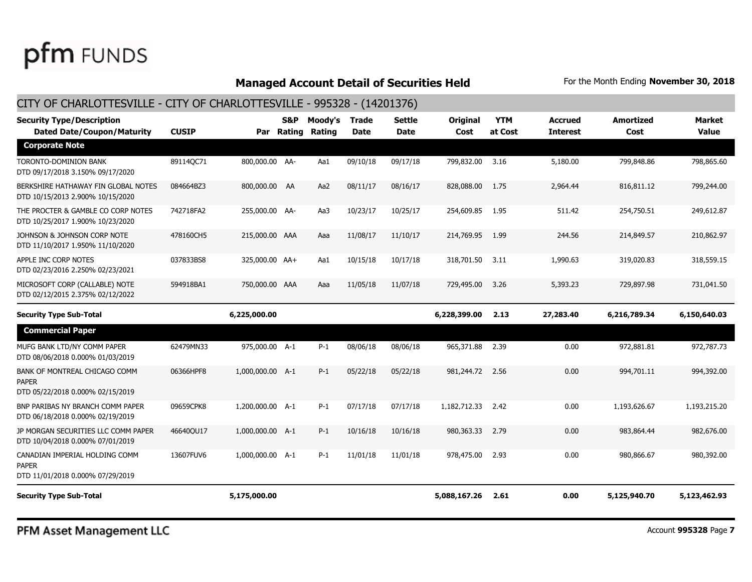### **Managed Account Detail of Securities Held** For the Month Ending November 30, 2018

| <b>Security Type/Description</b><br><b>Dated Date/Coupon/Maturity</b>              | <b>CUSIP</b> |                  | S&P<br>Par Rating | Moody's<br>Rating | <b>Trade</b><br><b>Date</b> | Settle<br>Date | <b>Original</b><br>Cost | <b>YTM</b><br>at Cost | Accrued<br><b>Interest</b> | <b>Amortized</b><br>Cost | Market<br><b>Value</b> |
|------------------------------------------------------------------------------------|--------------|------------------|-------------------|-------------------|-----------------------------|----------------|-------------------------|-----------------------|----------------------------|--------------------------|------------------------|
| <b>Corporate Note</b>                                                              |              |                  |                   |                   |                             |                |                         |                       |                            |                          |                        |
| TORONTO-DOMINION BANK<br>DTD 09/17/2018 3.150% 09/17/2020                          | 89114QC71    | 800,000.00 AA-   |                   | Aa1               | 09/10/18                    | 09/17/18       | 799,832.00              | 3.16                  | 5,180.00                   | 799,848.86               | 798,865.60             |
| BERKSHIRE HATHAWAY FIN GLOBAL NOTES<br>DTD 10/15/2013 2.900% 10/15/2020            | 084664BZ3    | 800,000.00 AA    |                   | Aa2               | 08/11/17                    | 08/16/17       | 828,088.00              | 1.75                  | 2,964.44                   | 816,811.12               | 799,244.00             |
| THE PROCTER & GAMBLE CO CORP NOTES<br>DTD 10/25/2017 1.900% 10/23/2020             | 742718FA2    | 255,000.00 AA-   |                   | Aa3               | 10/23/17                    | 10/25/17       | 254,609.85              | 1.95                  | 511.42                     | 254,750.51               | 249,612.87             |
| JOHNSON & JOHNSON CORP NOTE<br>DTD 11/10/2017 1.950% 11/10/2020                    | 478160CH5    | 215,000.00 AAA   |                   | Aaa               | 11/08/17                    | 11/10/17       | 214,769.95              | 1.99                  | 244.56                     | 214,849.57               | 210,862.97             |
| APPLE INC CORP NOTES<br>DTD 02/23/2016 2.250% 02/23/2021                           | 037833BS8    | 325,000.00 AA+   |                   | Aa1               | 10/15/18                    | 10/17/18       | 318,701.50              | 3.11                  | 1,990.63                   | 319,020.83               | 318,559.15             |
| MICROSOFT CORP (CALLABLE) NOTE<br>DTD 02/12/2015 2.375% 02/12/2022                 | 594918BA1    | 750,000.00 AAA   |                   | Aaa               | 11/05/18                    | 11/07/18       | 729,495.00              | 3.26                  | 5,393,23                   | 729,897.98               | 731.041.50             |
| <b>Security Type Sub-Total</b>                                                     |              | 6,225,000.00     |                   |                   |                             |                | 6,228,399.00            | 2.13                  | 27,283.40                  | 6,216,789.34             | 6,150,640.03           |
| <b>Commercial Paper</b>                                                            |              |                  |                   |                   |                             |                |                         |                       |                            |                          |                        |
| MUFG BANK LTD/NY COMM PAPER<br>DTD 08/06/2018 0.000% 01/03/2019                    | 62479MN33    | 975,000.00 A-1   |                   | $P-1$             | 08/06/18                    | 08/06/18       | 965,371.88              | 2.39                  | 0.00                       | 972,881.81               | 972,787.73             |
| BANK OF MONTREAL CHICAGO COMM<br><b>PAPER</b><br>DTD 05/22/2018 0.000% 02/15/2019  | 06366HPF8    | 1,000,000.00 A-1 |                   | $P-1$             | 05/22/18                    | 05/22/18       | 981,244.72              | 2.56                  | 0.00                       | 994,701.11               | 994,392.00             |
| BNP PARIBAS NY BRANCH COMM PAPER<br>DTD 06/18/2018 0.000% 02/19/2019               | 09659CPK8    | 1,200,000.00 A-1 |                   | $P-1$             | 07/17/18                    | 07/17/18       | 1,182,712.33            | 2.42                  | 0.00                       | 1,193,626,67             | 1,193,215,20           |
| JP MORGAN SECURITIES LLC COMM PAPER<br>DTD 10/04/2018 0.000% 07/01/2019            | 46640OU17    | 1,000,000.00 A-1 |                   | $P-1$             | 10/16/18                    | 10/16/18       | 980,363.33              | 2.79                  | 0.00                       | 983,864.44               | 982,676.00             |
| CANADIAN IMPERIAL HOLDING COMM<br><b>PAPER</b><br>DTD 11/01/2018 0.000% 07/29/2019 | 13607FUV6    | 1,000,000.00 A-1 |                   | $P-1$             | 11/01/18                    | 11/01/18       | 978,475.00              | 2.93                  | 0.00                       | 980,866.67               | 980,392.00             |
| <b>Security Type Sub-Total</b>                                                     |              | 5,175,000.00     |                   |                   |                             |                | 5,088,167.26            | 2.61                  | 0.00                       | 5,125,940.70             | 5,123,462.93           |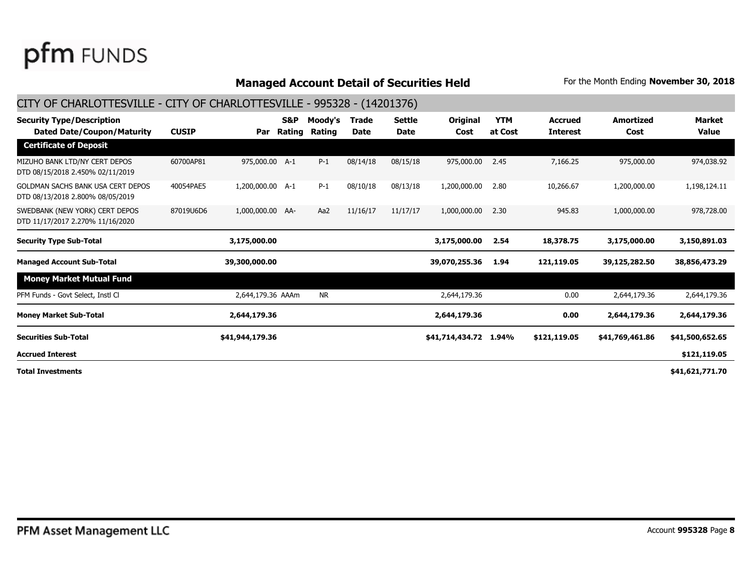#### **Managed Account Detail of Securities Held** For the Month Ending November 30, 2018

#### CITY OF CHARLOTTESVILLE - CITY OF CHARLOTTESVILLE - 995328 - (14201376) **Dated Date/Coupon/Maturity CUSIP Rating Rating Date Date Cost at Cost Interest Cost Value Security Type/Description S&P Moody's Trade Settle Original YTM Accrued Amortized Market Par Certificate of Deposit** MIZUHO BANK LTD/NY CERT DEPOS DTD 08/15/2018 2.450% 02/11/2019 60700AP81 975,000.00 A-1 P-1 08/14/18 08/15/18 975,000.00 2.45 7,166.25 975,000.00 974,038.92 GOLDMAN SACHS BANK USA CERT DEPOS DTD 08/13/2018 2.800% 08/05/2019 40054PAE5 1,200,000.00 A-1 P-1 08/10/18 08/13/18 1,200,000.00 2.80 10,266.67 1,200,000.00 1,198,124.11 SWEDBANK (NEW YORK) CERT DEPOS DTD 11/17/2017 2.270% 11/16/2020 87019U6D6 1,000,000.00 AA- Aa2 11/16/17 11/17/17 1,000,000.00 2.30 945.83 1,000,000.00 978,728.00 **Security Type Sub-Total 3,175,000.00 3,175,000.00 2.54 18,378.75 3,175,000.00 3,150,891.03 Managed Account Sub-Total 39,300,000.00 39,070,255.36 1.94 121,119.05 39,125,282.50 38,856,473.29 Money Market Mutual Fund** PFM Funds - Govt Select, Instl Cl and the Club 2,644,179.36 AAAm NR 2,644,179.36 2,644,179.36 2,644,179.36 2,644,179.36 2,644,179.36 2,644,179.36 2,644,179.36 **Money Market Sub-Total 2,644,179.36 2,644,179.36 0.00 2,644,179.36 2,644,179.36 \$41,944,179.36 \$41,714,434.72 1.94% \$121,119.05 \$41,769,461.86 \$41,500,652.65 \$41,621,771.70 \$121,119.05 Total Investments Accrued Interest Securities Sub-Total**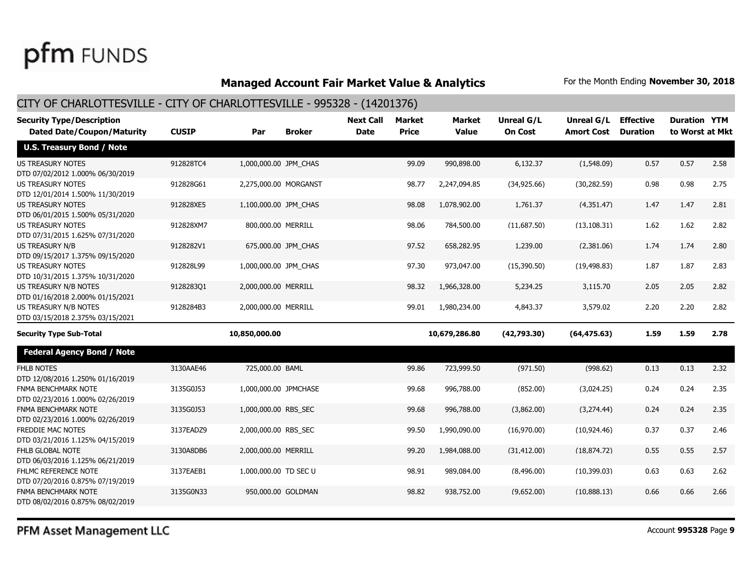### **Managed Account Fair Market Value & Analytics** For the Month Ending November 30, 2018

| <b>Security Type/Description</b>                             |              |                       |                     | <b>Next Call</b> | <b>Market</b> | <b>Market</b> | Unreal G/L     | Unreal G/L        | <b>Effective</b> | <b>Duration YTM</b> |      |
|--------------------------------------------------------------|--------------|-----------------------|---------------------|------------------|---------------|---------------|----------------|-------------------|------------------|---------------------|------|
| <b>Dated Date/Coupon/Maturity</b>                            | <b>CUSIP</b> | Par                   | <b>Broker</b>       | <b>Date</b>      | <b>Price</b>  | <b>Value</b>  | <b>On Cost</b> | <b>Amort Cost</b> | <b>Duration</b>  | to Worst at Mkt     |      |
| <b>U.S. Treasury Bond / Note</b>                             |              |                       |                     |                  |               |               |                |                   |                  |                     |      |
| <b>US TREASURY NOTES</b><br>DTD 07/02/2012 1.000% 06/30/2019 | 912828TC4    | 1,000,000.00 JPM_CHAS |                     |                  | 99.09         | 990,898.00    | 6,132.37       | (1,548.09)        | 0.57             | 0.57                | 2.58 |
| US TREASURY NOTES<br>DTD 12/01/2014 1.500% 11/30/2019        | 912828G61    | 2,275,000.00 MORGANST |                     |                  | 98.77         | 2,247,094.85  | (34, 925.66)   | (30, 282.59)      | 0.98             | 0.98                | 2.75 |
| US TREASURY NOTES<br>DTD 06/01/2015 1.500% 05/31/2020        | 912828XE5    | 1,100,000.00 JPM CHAS |                     |                  | 98.08         | 1,078,902.00  | 1,761.37       | (4,351.47)        | 1.47             | 1.47                | 2.81 |
| <b>US TREASURY NOTES</b><br>DTD 07/31/2015 1.625% 07/31/2020 | 912828XM7    | 800,000.00 MERRILL    |                     |                  | 98.06         | 784,500.00    | (11,687.50)    | (13, 108.31)      | 1.62             | 1.62                | 2.82 |
| <b>US TREASURY N/B</b><br>DTD 09/15/2017 1.375% 09/15/2020   | 9128282V1    |                       | 675,000.00 JPM_CHAS |                  | 97.52         | 658,282.95    | 1,239.00       | (2,381.06)        | 1.74             | 1.74                | 2.80 |
| <b>US TREASURY NOTES</b><br>DTD 10/31/2015 1.375% 10/31/2020 | 912828L99    | 1,000,000.00 JPM_CHAS |                     |                  | 97.30         | 973,047.00    | (15,390.50)    | (19, 498.83)      | 1.87             | 1.87                | 2.83 |
| US TREASURY N/B NOTES<br>DTD 01/16/2018 2.000% 01/15/2021    | 912828301    | 2,000,000.00 MERRILL  |                     |                  | 98.32         | 1,966,328.00  | 5,234.25       | 3,115.70          | 2.05             | 2.05                | 2.82 |
| US TREASURY N/B NOTES<br>DTD 03/15/2018 2.375% 03/15/2021    | 9128284B3    | 2,000,000.00 MERRILL  |                     |                  | 99.01         | 1,980,234.00  | 4,843.37       | 3,579.02          | 2.20             | 2.20                | 2.82 |
| <b>Security Type Sub-Total</b>                               |              | 10,850,000.00         |                     |                  |               | 10,679,286.80 | (42,793.30)    | (64, 475.63)      | 1.59             | 1.59                | 2.78 |
| <b>Federal Agency Bond / Note</b>                            |              |                       |                     |                  |               |               |                |                   |                  |                     |      |
| <b>FHLB NOTES</b><br>DTD 12/08/2016 1.250% 01/16/2019        | 3130AAE46    | 725,000.00 BAML       |                     |                  | 99.86         | 723,999.50    | (971.50)       | (998.62)          | 0.13             | 0.13                | 2.32 |
| FNMA BENCHMARK NOTE<br>DTD 02/23/2016 1.000% 02/26/2019      | 3135G0J53    | 1,000,000.00 JPMCHASE |                     |                  | 99.68         | 996,788.00    | (852.00)       | (3,024.25)        | 0.24             | 0.24                | 2.35 |
| FNMA BENCHMARK NOTE<br>DTD 02/23/2016 1.000% 02/26/2019      | 3135G0J53    | 1,000,000.00 RBS_SEC  |                     |                  | 99.68         | 996,788.00    | (3,862.00)     | (3,274.44)        | 0.24             | 0.24                | 2.35 |
| <b>FREDDIE MAC NOTES</b><br>DTD 03/21/2016 1.125% 04/15/2019 | 3137EADZ9    | 2,000,000.00 RBS_SEC  |                     |                  | 99.50         | 1,990,090.00  | (16,970.00)    | (10, 924.46)      | 0.37             | 0.37                | 2.46 |
| <b>FHLB GLOBAL NOTE</b><br>DTD 06/03/2016 1.125% 06/21/2019  | 3130A8DB6    | 2,000,000.00 MERRILL  |                     |                  | 99.20         | 1,984,088.00  | (31, 412.00)   | (18, 874.72)      | 0.55             | 0.55                | 2.57 |
| FHLMC REFERENCE NOTE<br>DTD 07/20/2016 0.875% 07/19/2019     | 3137EAEB1    | 1,000,000.00 TD SEC U |                     |                  | 98.91         | 989,084.00    | (8,496.00)     | (10, 399.03)      | 0.63             | 0.63                | 2.62 |
| FNMA BENCHMARK NOTE<br>DTD 08/02/2016 0.875% 08/02/2019      | 3135G0N33    |                       | 950,000.00 GOLDMAN  |                  | 98.82         | 938,752.00    | (9,652.00)     | (10,888.13)       | 0.66             | 0.66                | 2.66 |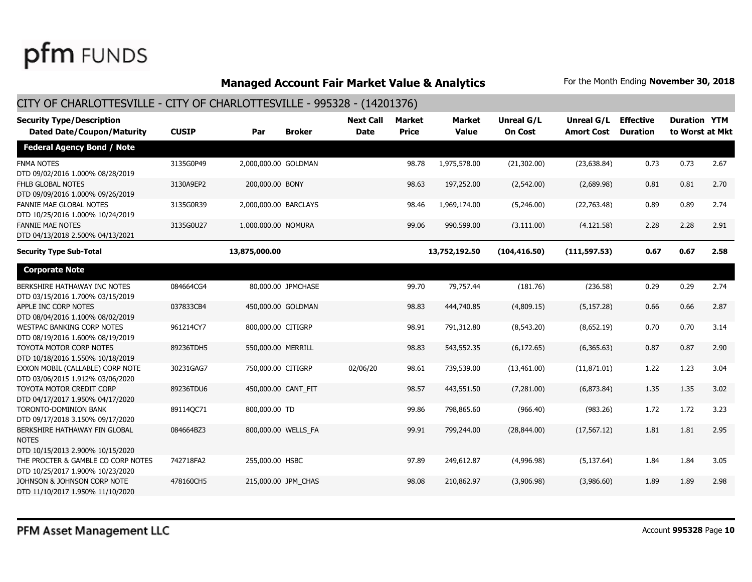### **Managed Account Fair Market Value & Analytics** For the Month Ending November 30, 2018

| <b>Security Type/Description</b><br><b>Dated Date/Coupon/Maturity</b>             | <b>CUSIP</b> | Par                   | <b>Broker</b>       | <b>Next Call</b><br><b>Date</b> | <b>Market</b><br><b>Price</b> | <b>Market</b><br>Value | Unreal G/L<br><b>On Cost</b> | Unreal G/L<br><b>Amort Cost</b> | <b>Effective</b><br><b>Duration</b> | <b>Duration YTM</b><br>to Worst at Mkt |      |
|-----------------------------------------------------------------------------------|--------------|-----------------------|---------------------|---------------------------------|-------------------------------|------------------------|------------------------------|---------------------------------|-------------------------------------|----------------------------------------|------|
| <b>Federal Agency Bond / Note</b>                                                 |              |                       |                     |                                 |                               |                        |                              |                                 |                                     |                                        |      |
| <b>FNMA NOTES</b><br>DTD 09/02/2016 1.000% 08/28/2019                             | 3135G0P49    | 2,000,000.00 GOLDMAN  |                     |                                 | 98.78                         | 1,975,578.00           | (21,302.00)                  | (23, 638.84)                    | 0.73                                | 0.73                                   | 2.67 |
| <b>FHLB GLOBAL NOTES</b><br>DTD 09/09/2016 1.000% 09/26/2019                      | 3130A9EP2    | 200,000.00 BONY       |                     |                                 | 98.63                         | 197,252.00             | (2,542.00)                   | (2,689.98)                      | 0.81                                | 0.81                                   | 2.70 |
| <b>FANNIE MAE GLOBAL NOTES</b><br>DTD 10/25/2016 1.000% 10/24/2019                | 3135G0R39    | 2,000,000.00 BARCLAYS |                     |                                 | 98.46                         | 1,969,174.00           | (5,246.00)                   | (22,763.48)                     | 0.89                                | 0.89                                   | 2.74 |
| <b>FANNIE MAE NOTES</b><br>DTD 04/13/2018 2.500% 04/13/2021                       | 3135G0U27    | 1,000,000.00 NOMURA   |                     |                                 | 99.06                         | 990,599.00             | (3, 111.00)                  | (4, 121.58)                     | 2.28                                | 2.28                                   | 2.91 |
| <b>Security Type Sub-Total</b>                                                    |              | 13,875,000.00         |                     |                                 |                               | 13,752,192.50          | (104, 416.50)                | (111, 597.53)                   | 0.67                                | 0.67                                   | 2.58 |
| <b>Corporate Note</b>                                                             |              |                       |                     |                                 |                               |                        |                              |                                 |                                     |                                        |      |
| BERKSHIRE HATHAWAY INC NOTES<br>DTD 03/15/2016 1.700% 03/15/2019                  | 084664CG4    |                       | 80,000.00 JPMCHASE  |                                 | 99.70                         | 79,757.44              | (181.76)                     | (236.58)                        | 0.29                                | 0.29                                   | 2.74 |
| APPLE INC CORP NOTES<br>DTD 08/04/2016 1.100% 08/02/2019                          | 037833CB4    |                       | 450,000.00 GOLDMAN  |                                 | 98.83                         | 444,740.85             | (4,809.15)                   | (5, 157.28)                     | 0.66                                | 0.66                                   | 2.87 |
| <b>WESTPAC BANKING CORP NOTES</b><br>DTD 08/19/2016 1.600% 08/19/2019             | 961214CY7    | 800,000.00 CITIGRP    |                     |                                 | 98.91                         | 791,312.80             | (8,543.20)                   | (8,652.19)                      | 0.70                                | 0.70                                   | 3.14 |
| TOYOTA MOTOR CORP NOTES<br>DTD 10/18/2016 1.550% 10/18/2019                       | 89236TDH5    | 550,000.00 MERRILL    |                     |                                 | 98.83                         | 543,552.35             | (6, 172.65)                  | (6,365.63)                      | 0.87                                | 0.87                                   | 2.90 |
| EXXON MOBIL (CALLABLE) CORP NOTE<br>DTD 03/06/2015 1.912% 03/06/2020              | 30231GAG7    | 750,000.00 CITIGRP    |                     | 02/06/20                        | 98.61                         | 739,539.00             | (13,461.00)                  | (11,871.01)                     | 1.22                                | 1.23                                   | 3.04 |
| TOYOTA MOTOR CREDIT CORP<br>DTD 04/17/2017 1.950% 04/17/2020                      | 89236TDU6    | 450,000.00 CANT_FIT   |                     |                                 | 98.57                         | 443,551.50             | (7,281.00)                   | (6,873.84)                      | 1.35                                | 1.35                                   | 3.02 |
| <b>TORONTO-DOMINION BANK</b><br>DTD 09/17/2018 3.150% 09/17/2020                  | 89114QC71    | 800,000.00 TD         |                     |                                 | 99.86                         | 798,865.60             | (966.40)                     | (983.26)                        | 1.72                                | 1.72                                   | 3.23 |
| BERKSHIRE HATHAWAY FIN GLOBAL<br><b>NOTES</b><br>DTD 10/15/2013 2.900% 10/15/2020 | 084664BZ3    |                       | 800,000.00 WELLS_FA |                                 | 99.91                         | 799,244.00             | (28, 844.00)                 | (17, 567.12)                    | 1.81                                | 1.81                                   | 2.95 |
| THE PROCTER & GAMBLE CO CORP NOTES<br>DTD 10/25/2017 1.900% 10/23/2020            | 742718FA2    | 255,000.00 HSBC       |                     |                                 | 97.89                         | 249,612.87             | (4,996.98)                   | (5, 137.64)                     | 1.84                                | 1.84                                   | 3.05 |
| JOHNSON & JOHNSON CORP NOTE<br>DTD 11/10/2017 1.950% 11/10/2020                   | 478160CH5    |                       | 215,000.00 JPM CHAS |                                 | 98.08                         | 210,862.97             | (3,906.98)                   | (3,986.60)                      | 1.89                                | 1.89                                   | 2.98 |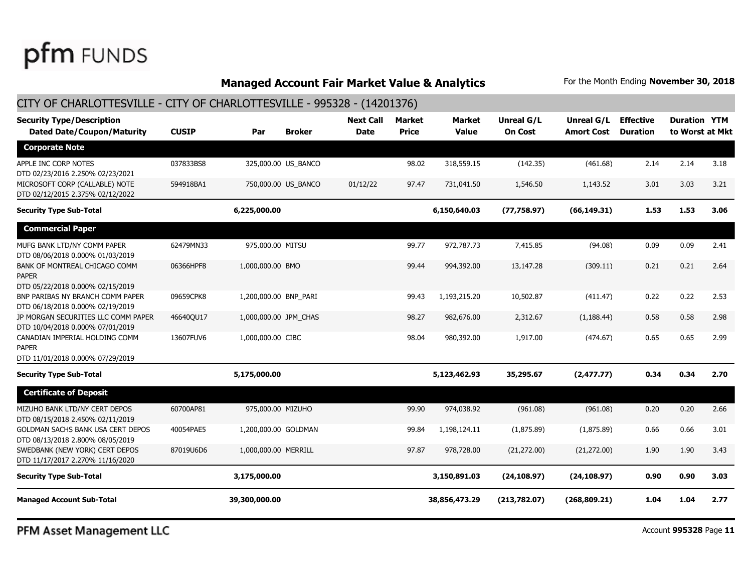#### **Managed Account Fair Market Value & Analytics** For the Month Ending November 30, 2018

#### CITY OF CHARLOTTESVILLE - CITY OF CHARLOTTESVILLE - 995328 - (14201376) **Dated Date/Coupon/Maturity CUSIP Par Broker Date Price Value On Cost Amort Cost to Worst at Mkt Security Type/Description Next Call Market Market Unreal G/L Unreal G/L Effective Duration YTM Duration Corporate Note** APPLE INC CORP NOTES 037833BS8 325,000.00 US\_BANCO 98.02 318,559.15 (142.35) (461.68) 2.14 2.14 DTD 02/23/2016 2.250% 02/23/2021 2.14 3.18 MICROSOFT CORP (CALLABLE) NOTE 594918BA1 750,000.00 US\_BANCO 01/12/22 97.47 731,041.50 1,546.50 1,143.52 3.01 3.03 DTD 02/12/2015 2.375% 02/12/2022 3.01 3.21 **Security Type Sub-Total 6,225,000.00 6,150,640.03 (77,758.97) (66,149.31) 1.53 1.53 3.06 Commercial Paper** MUFG BANK LTD/NY COMM PAPER 62479MN33 975,000.00 MITSU 99.77 99.77 972.787.73 7.415.85 (94.08) 0.09 0.09 DTD 08/06/2018 0.000% 01/03/2019 0.09 2.41 BANK OF MONTREAL CHICAGO COMM 06366HPF8 1,000,000.00 BMO 99.44 994,392.00 13,147.28 (309.11) 0.21 0.21 0.21 PAPER DTD 05/22/2018 0.000% 02/15/2019 0.21 2.64 BNP PARIBAS NY BRANCH COMM PAPER 09659CPK8 1,200,000.00 BNP\_PARI 99.43 1,193,215.20 10,502.87 (411.47) 0.22 DTD 06/18/2018 0.000% 02/19/2019 0.22 2.53 JP MORGAN SECURITIES LLC COMM PAPER 46640QU17 1,000,000.00 JPM\_CHAS 98.27 982,676.00 2,312.67 (1,188.44) 0.58 DTD 10/04/2018 0.000% 07/01/2019 0.58 2.98 CANADIAN IMPERIAL HOLDING COMM 13607FUV6 1,000,000.00 CIBC 98.04 980,392.00 1,917.00 (474.67) 0.65 PAPER DTD 11/01/2018 0.000% 07/29/2019 0.65 2.99 **Security Type Sub-Total 5,175,000.00 5,123,462.93 35,295.67 (2,477.77) 0.34 0.34 2.70 Certificate of Deposit** MIZUHO BANK LTD/NY CERT DEPOS 60700AP81 975,000.00 MIZUHO 99.90 99.90 974,038.92 (961.08) 99.90 974,038.92 (961.08) DTD 08/15/2018 2.450% 02/11/2019 0.20 2.66 GOLDMAN SACHS BANK USA CERT DEPOS 40054PAE5 1,200,000.00 GOLDMAN 99.84 1,198,124.11 (1,875.89) (1,875.89) 0.66 0.66 DTD 08/13/2018 2.800% 08/05/2019 0.66 3.01 SWEDBANK (NEW YORK) CERT DEPOS 87019U6D6 1,000,000.00 MERRILL 97.87 97.87 978,728.00 (21,272.00) (21,272.00) 1.90 1.90 DTD 11/17/2017 2.270% 11/16/2020 1.90 3.43 **Security Type Sub-Total 3,175,000.00 3,150,891.03 (24,108.97) (24,108.97) 0.90 0.90 3.03 Managed Account Sub-Total 39,300,000.00 38,856,473.29 (213,782.07) (268,809.21) 1.04 1.04 2.77**

PFM Asset Management LLC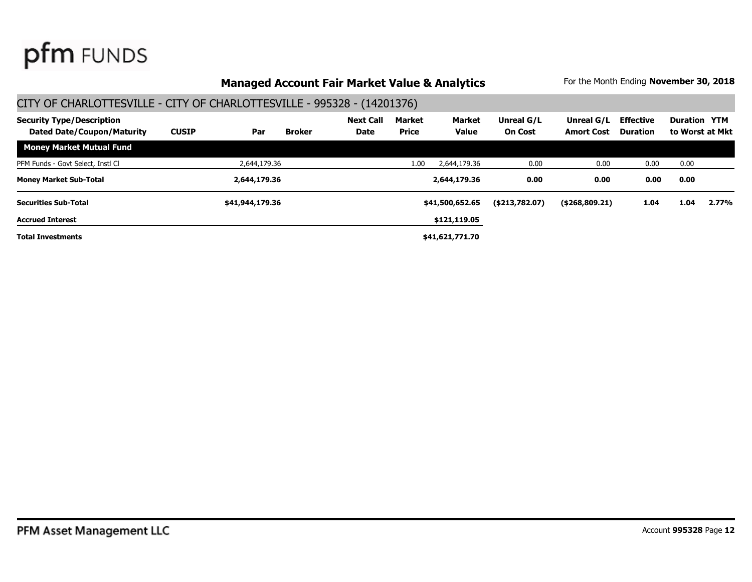### **Managed Account Fair Market Value & Analytics** For the Month Ending November 30, 2018

#### CITY OF CHARLOTTESVILLE - CITY OF CHARLOTTESVILLE - 995328 - (14201376) **Dated Date/Coupon/Maturity CUSIP Par Broker Date Price Value On Cost Amort Cost to Worst at Mkt Security Type/Description Next Call Market Market Unreal G/L Unreal G/L Effective Duration YTM Duration Money Market Mutual Fund** PFM Funds - Govt Select, Instl Cl and the Club 2004,179.36 2,644,179.36 1.00 2,644,179.36 0.00 0.00 0.00 0.00 0.00 **Money Market Sub-Total 2,644,179.36 2,644,179.36 0.00 0.00 0.00 0.00 Total Investments \$41,621,771.70 \$121,119.05 \$41,500,652.65 Accrued Interest Securities Sub-Total \$41,944,179.36 (\$213,782.07) (\$268,809.21) 1.04 1.04 2.77%**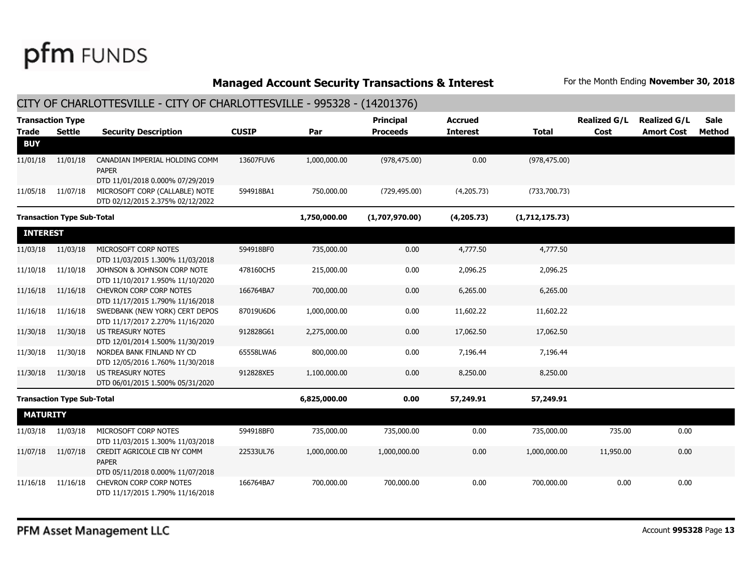**Managed Account Security Transactions & Interest** For the Month Ending November 30, 2018

| CITY OF CHARLOTTESVILLE - CITY OF CHARLOTTESVILLE - 995328 - (14201376) |                                          |                                                                                                        |              |              |                                     |                                   |                |                             |                                          |                |  |
|-------------------------------------------------------------------------|------------------------------------------|--------------------------------------------------------------------------------------------------------|--------------|--------------|-------------------------------------|-----------------------------------|----------------|-----------------------------|------------------------------------------|----------------|--|
| <b>Trade</b>                                                            | <b>Transaction Type</b><br><b>Settle</b> | <b>Security Description</b>                                                                            | <b>CUSIP</b> | Par          | <b>Principal</b><br><b>Proceeds</b> | <b>Accrued</b><br><b>Interest</b> | <b>Total</b>   | <b>Realized G/L</b><br>Cost | <b>Realized G/L</b><br><b>Amort Cost</b> | Sale<br>Method |  |
| <b>BUY</b>                                                              |                                          |                                                                                                        |              |              |                                     |                                   |                |                             |                                          |                |  |
| 11/01/18                                                                | 11/01/18                                 | CANADIAN IMPERIAL HOLDING COMM<br><b>PAPER</b>                                                         | 13607FUV6    | 1,000,000.00 | (978, 475.00)                       | 0.00                              | (978, 475.00)  |                             |                                          |                |  |
| 11/05/18                                                                | 11/07/18                                 | DTD 11/01/2018 0.000% 07/29/2019<br>MICROSOFT CORP (CALLABLE) NOTE<br>DTD 02/12/2015 2.375% 02/12/2022 | 594918BA1    | 750,000.00   | (729, 495.00)                       | (4,205.73)                        | (733, 700.73)  |                             |                                          |                |  |
|                                                                         | <b>Transaction Type Sub-Total</b>        |                                                                                                        |              | 1,750,000.00 | (1,707,970.00)                      | (4, 205.73)                       | (1,712,175.73) |                             |                                          |                |  |
| <b>INTEREST</b>                                                         |                                          |                                                                                                        |              |              |                                     |                                   |                |                             |                                          |                |  |
| 11/03/18                                                                | 11/03/18                                 | MICROSOFT CORP NOTES<br>DTD 11/03/2015 1.300% 11/03/2018                                               | 594918BF0    | 735,000.00   | 0.00                                | 4,777.50                          | 4,777.50       |                             |                                          |                |  |
| 11/10/18                                                                | 11/10/18                                 | JOHNSON & JOHNSON CORP NOTE<br>DTD 11/10/2017 1.950% 11/10/2020                                        | 478160CH5    | 215,000.00   | 0.00                                | 2,096.25                          | 2,096.25       |                             |                                          |                |  |
| 11/16/18                                                                | 11/16/18                                 | <b>CHEVRON CORP CORP NOTES</b><br>DTD 11/17/2015 1.790% 11/16/2018                                     | 166764BA7    | 700,000.00   | 0.00                                | 6,265.00                          | 6,265.00       |                             |                                          |                |  |
| 11/16/18                                                                | 11/16/18                                 | SWEDBANK (NEW YORK) CERT DEPOS<br>DTD 11/17/2017 2.270% 11/16/2020                                     | 87019U6D6    | 1,000,000.00 | 0.00                                | 11,602.22                         | 11,602.22      |                             |                                          |                |  |
| 11/30/18                                                                | 11/30/18                                 | <b>US TREASURY NOTES</b><br>DTD 12/01/2014 1.500% 11/30/2019                                           | 912828G61    | 2,275,000.00 | 0.00                                | 17,062.50                         | 17,062.50      |                             |                                          |                |  |
| 11/30/18                                                                | 11/30/18                                 | NORDEA BANK FINLAND NY CD<br>DTD 12/05/2016 1.760% 11/30/2018                                          | 65558LWA6    | 800,000.00   | 0.00                                | 7,196.44                          | 7,196.44       |                             |                                          |                |  |
| 11/30/18                                                                | 11/30/18                                 | <b>US TREASURY NOTES</b><br>DTD 06/01/2015 1.500% 05/31/2020                                           | 912828XE5    | 1,100,000.00 | 0.00                                | 8,250.00                          | 8,250.00       |                             |                                          |                |  |
|                                                                         | <b>Transaction Type Sub-Total</b>        |                                                                                                        |              | 6,825,000.00 | 0.00                                | 57,249.91                         | 57,249.91      |                             |                                          |                |  |
| <b>MATURITY</b>                                                         |                                          |                                                                                                        |              |              |                                     |                                   |                |                             |                                          |                |  |
| 11/03/18                                                                | 11/03/18                                 | MICROSOFT CORP NOTES<br>DTD 11/03/2015 1.300% 11/03/2018                                               | 594918BF0    | 735,000.00   | 735,000.00                          | 0.00                              | 735,000.00     | 735.00                      | 0.00                                     |                |  |
| 11/07/18                                                                | 11/07/18                                 | CREDIT AGRICOLE CIB NY COMM<br><b>PAPER</b><br>DTD 05/11/2018 0.000% 11/07/2018                        | 22533UL76    | 1,000,000.00 | 1,000,000.00                        | 0.00                              | 1,000,000.00   | 11,950.00                   | 0.00                                     |                |  |
| 11/16/18                                                                | 11/16/18                                 | CHEVRON CORP CORP NOTES<br>DTD 11/17/2015 1.790% 11/16/2018                                            | 166764BA7    | 700,000.00   | 700,000.00                          | 0.00                              | 700,000.00     | 0.00                        | 0.00                                     |                |  |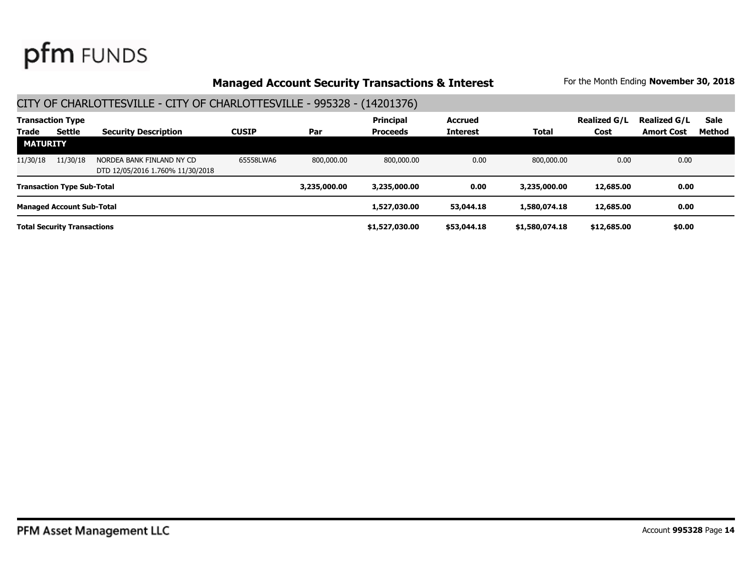### **Managed Account Security Transactions & Interest** For the Month Ending November 30, 2018

| <b>Transaction Type</b>            |                                   |                                                               |              | <b>Principal</b> | <b>Accrued</b> |                 | <b>Realized G/L</b> | <b>Realized G/L</b> | <b>Sale</b>       |        |
|------------------------------------|-----------------------------------|---------------------------------------------------------------|--------------|------------------|----------------|-----------------|---------------------|---------------------|-------------------|--------|
| <b>Trade</b>                       | Settle                            | <b>Security Description</b>                                   | <b>CUSIP</b> | Par              | Proceeds       | <b>Interest</b> | Total               | Cost                | <b>Amort Cost</b> | Method |
| <b>MATURITY</b>                    |                                   |                                                               |              |                  |                |                 |                     |                     |                   |        |
| 11/30/18                           | 11/30/18                          | NORDEA BANK FINLAND NY CD<br>DTD 12/05/2016 1.760% 11/30/2018 | 65558LWA6    | 800,000,00       | 800,000,00     | 0.00            | 800,000,00          | 0.00                | 0.00              |        |
|                                    | <b>Transaction Type Sub-Total</b> |                                                               |              | 3,235,000,00     | 3,235,000.00   | 0.00            | 3,235,000.00        | 12,685.00           | 0.00              |        |
|                                    | <b>Managed Account Sub-Total</b>  |                                                               |              |                  | 1,527,030.00   | 53,044.18       | 1,580,074.18        | 12,685.00           | 0.00              |        |
| <b>Total Security Transactions</b> |                                   |                                                               |              |                  | \$1,527,030.00 | \$53,044.18     | \$1,580,074.18      | \$12,685.00         | \$0.00            |        |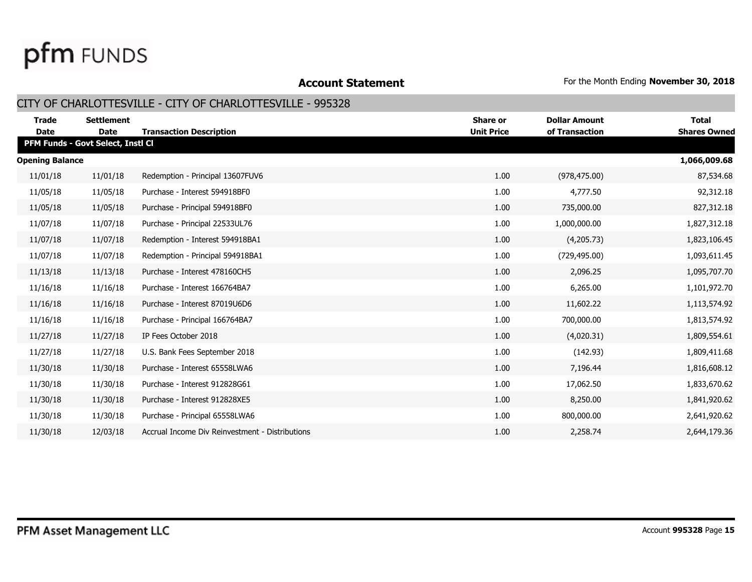**Account Statement For the Month Ending November 30, 2018** 

### CITY OF CHARLOTTESVILLE - CITY OF CHARLOTTESVILLE - 995328

| <b>Trade</b><br><b>Date</b> | <b>Settlement</b><br><b>Date</b>  | <b>Transaction Description</b>                  | Share or<br><b>Unit Price</b> | <b>Dollar Amount</b><br>of Transaction | <b>Total</b><br><b>Shares Owned</b> |
|-----------------------------|-----------------------------------|-------------------------------------------------|-------------------------------|----------------------------------------|-------------------------------------|
|                             | PFM Funds - Govt Select, Instl Cl |                                                 |                               |                                        |                                     |
| <b>Opening Balance</b>      |                                   |                                                 |                               |                                        | 1,066,009.68                        |
| 11/01/18                    | 11/01/18                          | Redemption - Principal 13607FUV6                | 1.00                          | (978, 475.00)                          | 87,534.68                           |
| 11/05/18                    | 11/05/18                          | Purchase - Interest 594918BF0                   | 1.00                          | 4,777.50                               | 92,312.18                           |
| 11/05/18                    | 11/05/18                          | Purchase - Principal 594918BF0                  | 1.00                          | 735,000.00                             | 827,312.18                          |
| 11/07/18                    | 11/07/18                          | Purchase - Principal 22533UL76                  | 1.00                          | 1,000,000.00                           | 1,827,312.18                        |
| 11/07/18                    | 11/07/18                          | Redemption - Interest 594918BA1                 | 1.00                          | (4,205.73)                             | 1,823,106.45                        |
| 11/07/18                    | 11/07/18                          | Redemption - Principal 594918BA1                | 1.00                          | (729, 495.00)                          | 1,093,611.45                        |
| 11/13/18                    | 11/13/18                          | Purchase - Interest 478160CH5                   | 1.00                          | 2,096.25                               | 1,095,707.70                        |
| 11/16/18                    | 11/16/18                          | Purchase - Interest 166764BA7                   | 1.00                          | 6,265.00                               | 1,101,972.70                        |
| 11/16/18                    | 11/16/18                          | Purchase - Interest 87019U6D6                   | 1.00                          | 11,602.22                              | 1,113,574.92                        |
| 11/16/18                    | 11/16/18                          | Purchase - Principal 166764BA7                  | 1.00                          | 700,000.00                             | 1,813,574.92                        |
| 11/27/18                    | 11/27/18                          | IP Fees October 2018                            | 1.00                          | (4,020.31)                             | 1,809,554.61                        |
| 11/27/18                    | 11/27/18                          | U.S. Bank Fees September 2018                   | 1.00                          | (142.93)                               | 1,809,411.68                        |
| 11/30/18                    | 11/30/18                          | Purchase - Interest 65558LWA6                   | 1.00                          | 7,196.44                               | 1,816,608.12                        |
| 11/30/18                    | 11/30/18                          | Purchase - Interest 912828G61                   | 1.00                          | 17,062.50                              | 1,833,670.62                        |
| 11/30/18                    | 11/30/18                          | Purchase - Interest 912828XE5                   | 1.00                          | 8,250.00                               | 1,841,920.62                        |
| 11/30/18                    | 11/30/18                          | Purchase - Principal 65558LWA6                  | 1.00                          | 800,000.00                             | 2,641,920.62                        |
| 11/30/18                    | 12/03/18                          | Accrual Income Div Reinvestment - Distributions | 1.00                          | 2,258.74                               | 2,644,179.36                        |